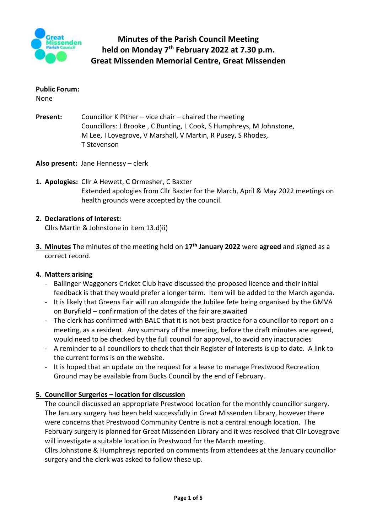

#### **Public Forum:**

None

**Present:** Councillor K Pither – vice chair – chaired the meeting Councillors: J Brooke , C Bunting, L Cook, S Humphreys, M Johnstone, M Lee, I Lovegrove, V Marshall, V Martin, R Pusey, S Rhodes, T Stevenson

**Also present:** Jane Hennessy – clerk

**1. Apologies:** Cllr A Hewett, C Ormesher, C Baxter Extended apologies from Cllr Baxter for the March, April & May 2022 meetings on health grounds were accepted by the council.

## **2. Declarations of Interest:**

Cllrs Martin & Johnstone in item 13.d)ii)

**3. Minutes** The minutes of the meeting held on **17th January 2022** were **agreed** and signed as a correct record.

## **4. Matters arising**

- Ballinger Waggoners Cricket Club have discussed the proposed licence and their initial feedback is that they would prefer a longer term. Item will be added to the March agenda.
- It is likely that Greens Fair will run alongside the Jubilee fete being organised by the GMVA on Buryfield – confirmation of the dates of the fair are awaited
- The clerk has confirmed with BALC that it is not best practice for a councillor to report on a meeting, as a resident. Any summary of the meeting, before the draft minutes are agreed, would need to be checked by the full council for approval, to avoid any inaccuracies
- A reminder to all councillors to check that their Register of Interests is up to date. A link to the current forms is on the website.
- It is hoped that an update on the request for a lease to manage Prestwood Recreation Ground may be available from Bucks Council by the end of February.

## **5. Councillor Surgeries – location for discussion**

The council discussed an appropriate Prestwood location for the monthly councillor surgery. The January surgery had been held successfully in Great Missenden Library, however there were concerns that Prestwood Community Centre is not a central enough location. The February surgery is planned for Great Missenden Library and it was resolved that Cllr Lovegrove will investigate a suitable location in Prestwood for the March meeting.

Cllrs Johnstone & Humphreys reported on comments from attendees at the January councillor surgery and the clerk was asked to follow these up.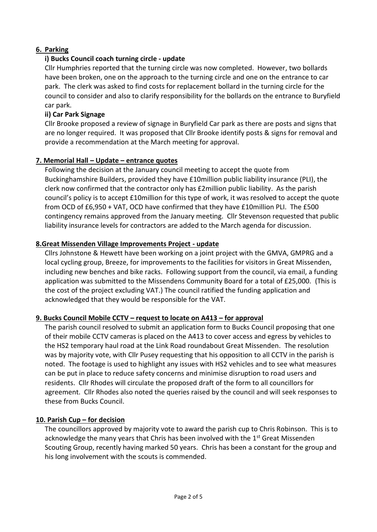# **6. Parking**

# **i) Bucks Council coach turning circle - update**

Cllr Humphries reported that the turning circle was now completed. However, two bollards have been broken, one on the approach to the turning circle and one on the entrance to car park. The clerk was asked to find costs for replacement bollard in the turning circle for the council to consider and also to clarify responsibility for the bollards on the entrance to Buryfield car park.

# **ii) Car Park Signage**

Cllr Brooke proposed a review of signage in Buryfield Car park as there are posts and signs that are no longer required. It was proposed that Cllr Brooke identify posts & signs for removal and provide a recommendation at the March meeting for approval.

# **7. Memorial Hall – Update – entrance quotes**

Following the decision at the January council meeting to accept the quote from Buckinghamshire Builders, provided they have £10million public liability insurance (PLI), the clerk now confirmed that the contractor only has £2million public liability. As the parish council's policy is to accept £10million for this type of work, it was resolved to accept the quote from OCD of £6,950 + VAT, OCD have confirmed that they have £10million PLI. The £500 contingency remains approved from the January meeting. Cllr Stevenson requested that public liability insurance levels for contractors are added to the March agenda for discussion.

# **8.Great Missenden Village Improvements Project - update**

Cllrs Johnstone & Hewett have been working on a joint project with the GMVA, GMPRG and a local cycling group, Breeze, for improvements to the facilities for visitors in Great Missenden, including new benches and bike racks. Following support from the council, via email, a funding application was submitted to the Missendens Community Board for a total of £25,000. (This is the cost of the project excluding VAT.) The council ratified the funding application and acknowledged that they would be responsible for the VAT.

## **9. Bucks Council Mobile CCTV – request to locate on A413 – for approval**

The parish council resolved to submit an application form to Bucks Council proposing that one of their mobile CCTV cameras is placed on the A413 to cover access and egress by vehicles to the HS2 temporary haul road at the Link Road roundabout Great Missenden. The resolution was by majority vote, with Cllr Pusey requesting that his opposition to all CCTV in the parish is noted. The footage is used to highlight any issues with HS2 vehicles and to see what measures can be put in place to reduce safety concerns and minimise disruption to road users and residents. Cllr Rhodes will circulate the proposed draft of the form to all councillors for agreement. Cllr Rhodes also noted the queries raised by the council and will seek responses to these from Bucks Council.

## **10. Parish Cup – for decision**

The councillors approved by majority vote to award the parish cup to Chris Robinson. This is to acknowledge the many years that Chris has been involved with the 1<sup>st</sup> Great Missenden Scouting Group, recently having marked 50 years. Chris has been a constant for the group and his long involvement with the scouts is commended.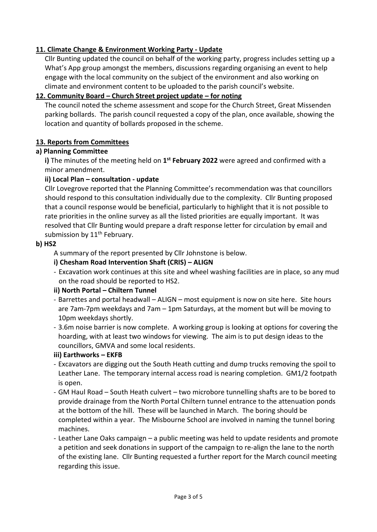# **11. Climate Change & Environment Working Party - Update**

Cllr Bunting updated the council on behalf of the working party, progress includes setting up a What's App group amongst the members, discussions regarding organising an event to help engage with the local community on the subject of the environment and also working on climate and environment content to be uploaded to the parish council's website.

# **12. Community Board – Church Street project update – for noting**

The council noted the scheme assessment and scope for the Church Street, Great Missenden parking bollards. The parish council requested a copy of the plan, once available, showing the location and quantity of bollards proposed in the scheme.

# **13. Reports from Committees**

## **a) Planning Committee**

**i)** The minutes of the meeting held on **1 st February 2022** were agreed and confirmed with a minor amendment.

# **ii) Local Plan – consultation - update**

Cllr Lovegrove reported that the Planning Committee's recommendation was that councillors should respond to this consultation individually due to the complexity. Cllr Bunting proposed that a council response would be beneficial, particularly to highlight that it is not possible to rate priorities in the online survey as all the listed priorities are equally important. It was resolved that Cllr Bunting would prepare a draft response letter for circulation by email and submission by 11<sup>th</sup> February.

# **b) HS2**

A summary of the report presented by Cllr Johnstone is below.

# **i) Chesham Road Intervention Shaft (CRIS) – ALIGN**

- Excavation work continues at this site and wheel washing facilities are in place, so any mud on the road should be reported to HS2.

# **ii) North Portal – Chiltern Tunnel**

- Barrettes and portal headwall ALIGN most equipment is now on site here. Site hours are 7am-7pm weekdays and 7am – 1pm Saturdays, at the moment but will be moving to 10pm weekdays shortly.
- 3.6m noise barrier is now complete. A working group is looking at options for covering the hoarding, with at least two windows for viewing. The aim is to put design ideas to the councillors, GMVA and some local residents.

## **iii) Earthworks – EKFB**

- Excavators are digging out the South Heath cutting and dump trucks removing the spoil to Leather Lane. The temporary internal access road is nearing completion. GM1/2 footpath is open.
- GM Haul Road South Heath culvert two microbore tunnelling shafts are to be bored to provide drainage from the North Portal Chiltern tunnel entrance to the attenuation ponds at the bottom of the hill. These will be launched in March. The boring should be completed within a year. The Misbourne School are involved in naming the tunnel boring machines.
- Leather Lane Oaks campaign a public meeting was held to update residents and promote a petition and seek donations in support of the campaign to re-align the lane to the north of the existing lane. Cllr Bunting requested a further report for the March council meeting regarding this issue.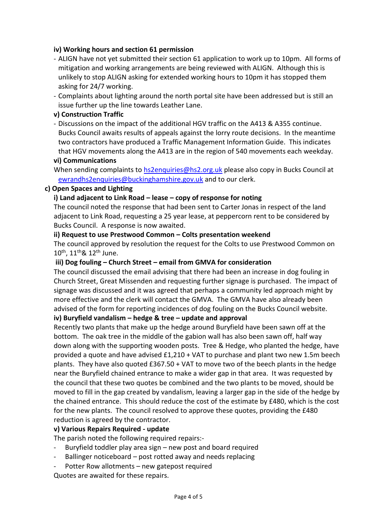#### **iv) Working hours and section 61 permission**

- ALIGN have not yet submitted their section 61 application to work up to 10pm. All forms of mitigation and working arrangements are being reviewed with ALIGN. Although this is unlikely to stop ALIGN asking for extended working hours to 10pm it has stopped them asking for 24/7 working.
- Complaints about lighting around the north portal site have been addressed but is still an issue further up the line towards Leather Lane.

### **v) Construction Traffic**

- Discussions on the impact of the additional HGV traffic on the A413 & A355 continue. Bucks Council awaits results of appeals against the lorry route decisions. In the meantime two contractors have produced a Traffic Management Information Guide. This indicates that HGV movements along the A413 are in the region of 540 movements each weekday.

#### **vi) Communications**

When sending complaints to [hs2enquiries@hs2.org.uk](mailto:hs2enquiries@hs2.org.uk) please also copy in Bucks Council at [ewrandhs2enquiries@buckinghamshire.gov.uk](mailto:ewrandhs2enquiries@buckinghamshire.gov.uk) and to our clerk.

#### **c) Open Spaces and Lighting**

#### **i) Land adjacent to Link Road – lease – copy of response for noting**

The council noted the response that had been sent to Carter Jonas in respect of the land adjacent to Link Road, requesting a 25 year lease, at peppercorn rent to be considered by Bucks Council. A response is now awaited.

#### **ii) Request to use Prestwood Common – Colts presentation weekend**

The council approved by resolution the request for the Colts to use Prestwood Common on 10th, 11th& 12th June.

#### **iii) Dog fouling – Church Street – email from GMVA for consideration**

The council discussed the email advising that there had been an increase in dog fouling in Church Street, Great Missenden and requesting further signage is purchased. The impact of signage was discussed and it was agreed that perhaps a community led approach might by more effective and the clerk will contact the GMVA. The GMVA have also already been advised of the form for reporting incidences of dog fouling on the Bucks Council website.

# **iv) Buryfield vandalism – hedge & tree – update and approval**

Recently two plants that make up the hedge around Buryfield have been sawn off at the bottom. The oak tree in the middle of the gabion wall has also been sawn off, half way down along with the supporting wooden posts. Tree & Hedge, who planted the hedge, have provided a quote and have advised £1,210 + VAT to purchase and plant two new 1.5m beech plants. They have also quoted £367.50 + VAT to move two of the beech plants in the hedge near the Buryfield chained entrance to make a wider gap in that area. It was requested by the council that these two quotes be combined and the two plants to be moved, should be moved to fill in the gap created by vandalism, leaving a larger gap in the side of the hedge by the chained entrance. This should reduce the cost of the estimate by £480, which is the cost for the new plants. The council resolved to approve these quotes, providing the £480 reduction is agreed by the contractor.

#### **v) Various Repairs Required - update**

The parish noted the following required repairs:-

- Buryfield toddler play area sign  $-$  new post and board required
- Ballinger noticeboard post rotted away and needs replacing
- Potter Row allotments new gatepost required

Quotes are awaited for these repairs.